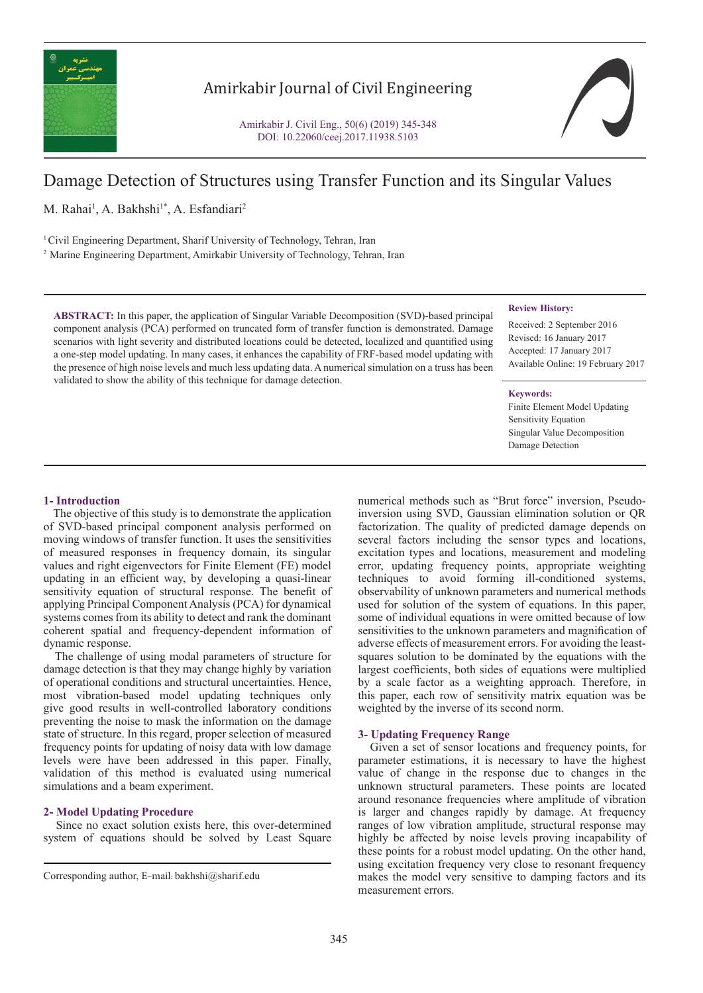

## Amirkabir Journal of Civil Engineering

Amirkabir J. Civil Eng., 50(6) (2019) 345-348 DOI: 10.22060/ceej.2017.11938.5103



# Damage Detection of Structures using Transfer Function and its Singular Values

M. Rahai<sup>1</sup>, A. Bakhshi<sup>1\*</sup>, A. Esfandiari<sup>2</sup>

1 Civil Engineering Department, Sharif University of Technology, Tehran, Iran

2 Marine Engineering Department, Amirkabir University of Technology, Tehran, Iran

**ABSTRACT:** In this paper, the application of Singular Variable Decomposition (SVD)-based principal component analysis (PCA) performed on truncated form of transfer function is demonstrated. Damage scenarios with light severity and distributed locations could be detected, localized and quantified using a one-step model updating. In many cases, it enhances the capability of FRF-based model updating with the presence of high noise levels and much less updating data. A numerical simulation on a truss has been validated to show the ability of this technique for damage detection.

## **Review History:**

Received: 2 September 2016 Revised: 16 January 2017 Accepted: 17 January 2017 Available Online: 19 February 2017

#### **Keywords:**

Finite Element Model Updating Sensitivity Equation Singular Value Decomposition Damage Detection

## **1- Introduction**

 The objective of this study is to demonstrate the application of SVD-based principal component analysis performed on moving windows of transfer function. It uses the sensitivities of measured responses in frequency domain, its singular values and right eigenvectors for Finite Element (FE) model updating in an efficient way, by developing a quasi-linear sensitivity equation of structural response. The benefit of applying Principal Component Analysis (PCA) for dynamical systems comes from its ability to detect and rank the dominant coherent spatial and frequency-dependent information of dynamic response.

 The challenge of using modal parameters of structure for damage detection is that they may change highly by variation of operational conditions and structural uncertainties. Hence, most vibration-based model updating techniques only give good results in well-controlled laboratory conditions preventing the noise to mask the information on the damage state of structure. In this regard, proper selection of measured frequency points for updating of noisy data with low damage levels were have been addressed in this paper. Finally, validation of this method is evaluated using numerical simulations and a beam experiment.

## **2- Model Updating Procedure**

 Since no exact solution exists here, this over-determined system of equations should be solved by Least Square

numerical methods such as "Brut force" inversion, Pseudoinversion using SVD, Gaussian elimination solution or QR factorization. The quality of predicted damage depends on several factors including the sensor types and locations, excitation types and locations, measurement and modeling error, updating frequency points, appropriate weighting techniques to avoid forming ill-conditioned systems, observability of unknown parameters and numerical methods used for solution of the system of equations. In this paper, some of individual equations in were omitted because of low sensitivities to the unknown parameters and magnification of adverse effects of measurement errors. For avoiding the leastsquares solution to be dominated by the equations with the largest coefficients, both sides of equations were multiplied by a scale factor as a weighting approach. Therefore, in this paper, each row of sensitivity matrix equation was be weighted by the inverse of its second norm.

## **3- Updating Frequency Range**

 Given a set of sensor locations and frequency points, for parameter estimations, it is necessary to have the highest value of change in the response due to changes in the unknown structural parameters. These points are located around resonance frequencies where amplitude of vibration is larger and changes rapidly by damage. At frequency ranges of low vibration amplitude, structural response may highly be affected by noise levels proving incapability of these points for a robust model updating. On the other hand, using excitation frequency very close to resonant frequency makes the model very sensitive to damping factors and its measurement errors.

Corresponding author, E-mail: bakhshi@sharif.edu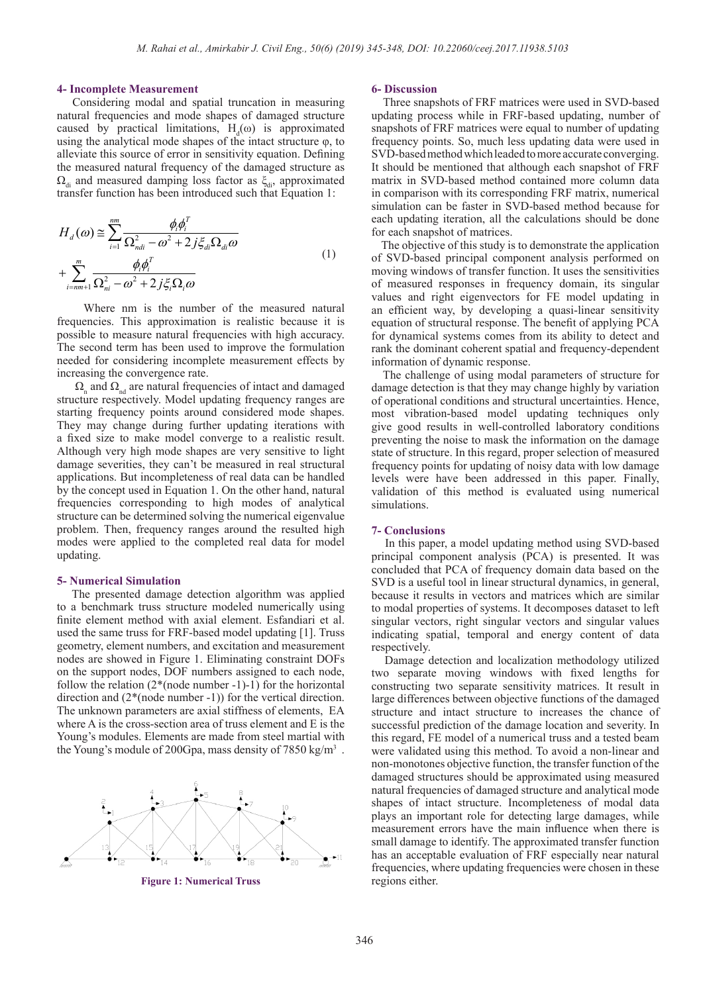#### **4- Incomplete Measurement**

 Considering modal and spatial truncation in measuring natural frequencies and mode shapes of damaged structure caused by practical limitations,  $H_d(\omega)$  is approximated using the analytical mode shapes of the intact structure  $\varphi$ , to alleviate this source of error in sensitivity equation. Defining the measured natural frequency of the damaged structure as  $\Omega_{di}$  and measured damping loss factor as  $\xi_{di}$ , approximated transfer function has been introduced such that Equation 1:

$$
H_d(\omega) \approx \sum_{i=1}^{nm} \frac{\phi_i \phi_i^T}{\Omega_{ndi}^2 - \omega^2 + 2j \xi_{di} \Omega_{di} \omega}
$$
  
+ 
$$
\sum_{i=nm+1}^{m} \frac{\phi_i \phi_i^T}{\Omega_{ni}^2 - \omega^2 + 2j \xi_i \Omega_i \omega}
$$
 (1)

 Where nm is the number of the measured natural frequencies. This approximation is realistic because it is possible to measure natural frequencies with high accuracy. The second term has been used to improve the formulation needed for considering incomplete measurement effects by increasing the convergence rate.

 $\Omega_{\rm n}$  and  $\Omega_{\rm nd}$  are natural frequencies of intact and damaged structure respectively. Model updating frequency ranges are starting frequency points around considered mode shapes. They may change during further updating iterations with a fixed size to make model converge to a realistic result. Although very high mode shapes are very sensitive to light damage severities, they can't be measured in real structural applications. But incompleteness of real data can be handled by the concept used in Equation 1. On the other hand, natural frequencies corresponding to high modes of analytical structure can be determined solving the numerical eigenvalue problem. Then, frequency ranges around the resulted high modes were applied to the completed real data for model updating.

#### **5- Numerical Simulation**

 The presented damage detection algorithm was applied to a benchmark truss structure modeled numerically using finite element method with axial element. Esfandiari et al. used the same truss for FRF-based model updating [1]. Truss geometry, element numbers, and excitation and measurement nodes are showed in Figure 1. Eliminating constraint DOFs on the support nodes, DOF numbers assigned to each node, follow the relation  $(2^*(\text{node number -1)}-1)$  for the horizontal direction and (2\*(node number -1)) for the vertical direction. The unknown parameters are axial stiffness of elements, EA where A is the cross-section area of truss element and E is the Young's modules. Elements are made from steel martial with the Young's module of 200Gpa, mass density of 7850 kg/m<sup>3</sup>.



**Figure 1: Numerical Truss**

#### **6- Discussion**

 Three snapshots of FRF matrices were used in SVD-based updating process while in FRF-based updating, number of snapshots of FRF matrices were equal to number of updating frequency points. So, much less updating data were used in SVD-based method which leaded to more accurate converging. It should be mentioned that although each snapshot of FRF matrix in SVD-based method contained more column data in comparison with its corresponding FRF matrix, numerical simulation can be faster in SVD-based method because for each updating iteration, all the calculations should be done for each snapshot of matrices.

 The objective of this study is to demonstrate the application of SVD-based principal component analysis performed on moving windows of transfer function. It uses the sensitivities of measured responses in frequency domain, its singular values and right eigenvectors for FE model updating in an efficient way, by developing a quasi-linear sensitivity equation of structural response. The benefit of applying PCA for dynamical systems comes from its ability to detect and rank the dominant coherent spatial and frequency-dependent information of dynamic response.

 The challenge of using modal parameters of structure for damage detection is that they may change highly by variation of operational conditions and structural uncertainties. Hence, most vibration-based model updating techniques only give good results in well-controlled laboratory conditions preventing the noise to mask the information on the damage state of structure. In this regard, proper selection of measured frequency points for updating of noisy data with low damage levels were have been addressed in this paper. Finally, validation of this method is evaluated using numerical simulations.

#### **7- Conclusions**

 In this paper, a model updating method using SVD-based principal component analysis (PCA) is presented. It was concluded that PCA of frequency domain data based on the SVD is a useful tool in linear structural dynamics, in general, because it results in vectors and matrices which are similar to modal properties of systems. It decomposes dataset to left singular vectors, right singular vectors and singular values indicating spatial, temporal and energy content of data respectively.

 Damage detection and localization methodology utilized two separate moving windows with fixed lengths for constructing two separate sensitivity matrices. It result in large differences between objective functions of the damaged structure and intact structure to increases the chance of successful prediction of the damage location and severity. In this regard, FE model of a numerical truss and a tested beam were validated using this method. To avoid a non-linear and non-monotones objective function, the transfer function of the damaged structures should be approximated using measured natural frequencies of damaged structure and analytical mode shapes of intact structure. Incompleteness of modal data plays an important role for detecting large damages, while measurement errors have the main influence when there is small damage to identify. The approximated transfer function has an acceptable evaluation of FRF especially near natural frequencies, where updating frequencies were chosen in these regions either.